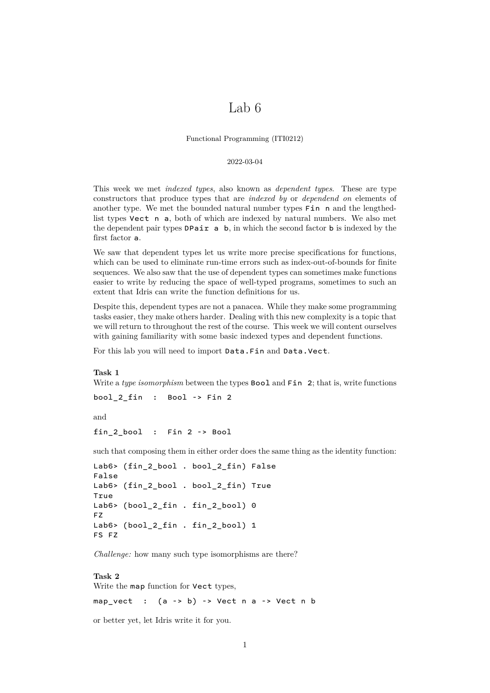# Lab 6

Functional Programming (ITI0212)

#### 2022-03-04

This week we met *indexed types*, also known as *dependent types*. These are type constructors that produce types that are *indexed by* or *dependend on* elements of another type. We met the bounded natural number types Fin n and the lengthedlist types Vect n a, both of which are indexed by natural numbers. We also met the dependent pair types  $D$ Pair a b, in which the second factor b is indexed by the first factor a.

We saw that dependent types let us write more precise specifications for functions, which can be used to eliminate run-time errors such as index-out-of-bounds for finite sequences. We also saw that the use of dependent types can sometimes make functions easier to write by reducing the space of well-typed programs, sometimes to such an extent that Idris can write the function definitions for us.

Despite this, dependent types are not a panacea. While they make some programming tasks easier, they make others harder. Dealing with this new complexity is a topic that we will return to throughout the rest of the course. This week we will content ourselves with gaining familiarity with some basic indexed types and dependent functions.

For this lab you will need to import Data.Fin and Data.Vect.

**Task 1** Write a *type isomorphism* between the types **Bool** and **Fin** 2; that is, write functions

bool 2 fin : Bool -> Fin 2

and

```
fin 2 bool : Fin 2 -> Bool
```
such that composing them in either order does the same thing as the identity function:

```
Lab6> (fin 2 bool . bool 2 fin) False
False
Lab6> (fin_2_bool . bool_2_fin) True
True
Lab6> (bool_2_fin . fin_2_bool) 0
FZ
Lab6> (bool_2_fin . fin_2_bool) 1
FS FZ
```
*Challenge:* how many such type isomorphisms are there?

#### **Task 2**

Write the map function for Vect types,

map\_vect :  $(a \rightarrow b) \rightarrow$  Vect n a -> Vect n b

or better yet, let Idris write it for you.